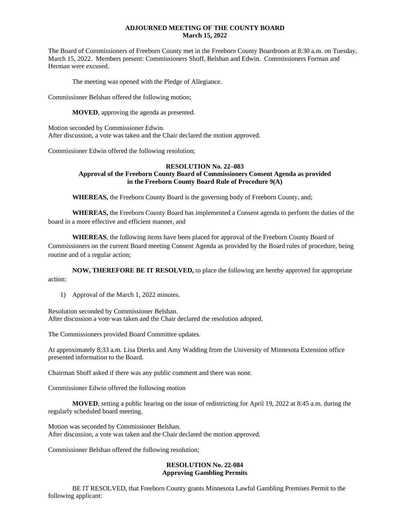## **ADJOURNED MEETING OF THE COUNTY BOARD March 15, 2022**

The Board of Commissioners of Freeborn County met in the Freeborn County Boardroom at 8:30 a.m. on Tuesday, March 15, 2022. Members present: Commissioners Shoff, Belshan and Edwin. Commissioners Forman and Herman were excused.

The meeting was opened with the Pledge of Allegiance.

Commissioner Belshan offered the following motion;

**MOVED**, approving the agenda as presented.

Motion seconded by Commissioner Edwin. After discussion, a vote was taken and the Chair declared the motion approved.

Commissioner Edwin offered the following resolution;

## **RESOLUTION No. 22–083 Approval of the Freeborn County Board of Commissioners Consent Agenda as provided in the Freeborn County Board Rule of Procedure 9(A)**

**WHEREAS,** the Freeborn County Board is the governing body of Freeborn County, and;

**WHEREAS,** the Freeborn County Board has implemented a Consent agenda to perform the duties of the board in a more effective and efficient manner, and

**WHEREAS**, the following items have been placed for approval of the Freeborn County Board of Commissioners on the current Board meeting Consent Agenda as provided by the Board rules of procedure, being routine and of a regular action;

**NOW, THEREFORE BE IT RESOLVED,** to place the following are hereby approved for appropriate action:

1) Approval of the March 1, 2022 minutes.

Resolution seconded by Commissioner Belshan. After discussion a vote was taken and the Chair declared the resolution adopted.

The Commissioners provided Board Committee updates.

At approximately 8:33 a.m. Lisa Dierks and Amy Wadding from the University of Minnesota Extension office presented information to the Board.

Chairman Shoff asked if there was any public comment and there was none.

Commissioner Edwin offered the following motion

**MOVED**, setting a public hearing on the issue of redistricting for April 19, 2022 at 8:45 a.m. during the regularly scheduled board meeting.

Motion was seconded by Commissioner Belshan. After discussion, a vote was taken and the Chair declared the motion approved.

Commissioner Belshan offered the following resolution;

# **RESOLUTION No. 22-084 Approving Gambling Permits**

BE IT RESOLVED, that Freeborn County grants Minnesota Lawful Gambling Premises Permit to the following applicant: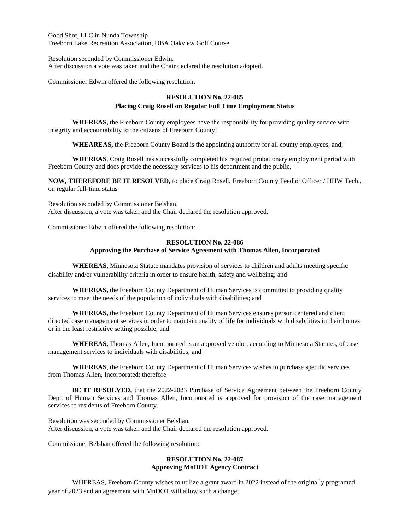Good Shot, LLC in Nunda Township Freeborn Lake Recreation Association, DBA Oakview Golf Course

Resolution seconded by Commissioner Edwin. After discussion a vote was taken and the Chair declared the resolution adopted.

Commissioner Edwin offered the following resolution;

# **RESOLUTION No. 22-085**

## **Placing Craig Rosell on Regular Full Time Employment Status**

**WHEREAS,** the Freeborn County employees have the responsibility for providing quality service with integrity and accountability to the citizens of Freeborn County;

**WHEAREAS,** the Freeborn County Board is the appointing authority for all county employees, and;

**WHEREAS**, Craig Rosell has successfully completed his required probationary employment period with Freeborn County and does provide the necessary services to his department and the public,

**NOW, THEREFORE BE IT RESOLVED,** to place Craig Rosell, Freeborn County Feedlot Officer / HHW Tech., on regular full-time status

Resolution seconded by Commissioner Belshan. After discussion, a vote was taken and the Chair declared the resolution approved.

Commissioner Edwin offered the following resolution:

# **RESOLUTION No. 22-086 Approving the Purchase of Service Agreement with Thomas Allen, Incorporated**

**WHEREAS,** Minnesota Statute mandates provision of services to children and adults meeting specific disability and/or vulnerability criteria in order to ensure health, safety and wellbeing; and

**WHEREAS,** the Freeborn County Department of Human Services is committed to providing quality services to meet the needs of the population of individuals with disabilities; and

**WHEREAS,** the Freeborn County Department of Human Services ensures person centered and client directed case management services in order to maintain quality of life for individuals with disabilities in their homes or in the least restrictive setting possible; and

**WHEREAS,** Thomas Allen, Incorporated is an approved vendor, according to Minnesota Statutes, of case management services to individuals with disabilities; and

**WHEREAS**, the Freeborn County Department of Human Services wishes to purchase specific services from Thomas Allen, Incorporated; therefore

**BE IT RESOLVED,** that the 2022-2023 Purchase of Service Agreement between the Freeborn County Dept. of Human Services and Thomas Allen, Incorporated is approved for provision of the case management services to residents of Freeborn County.

Resolution was seconded by Commissioner Belshan. After discussion, a vote was taken and the Chair declared the resolution approved.

Commissioner Belshan offered the following resolution:

# **RESOLUTION No. 22-087 Approving MnDOT Agency Contract**

WHEREAS, Freeborn County wishes to utilize a grant award in 2022 instead of the originally programed year of 2023 and an agreement with MnDOT will allow such a change;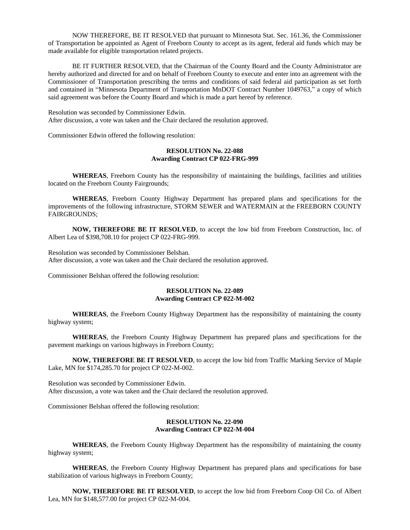NOW THEREFORE, BE IT RESOLVED that pursuant to Minnesota Stat. Sec. 161.36, the Commissioner of Transportation be appointed as Agent of Freeborn County to accept as its agent, federal aid funds which may be made available for eligible transportation related projects.

BE IT FURTHER RESOLVED, that the Chairman of the County Board and the County Administrator are hereby authorized and directed for and on behalf of Freeborn County to execute and enter into an agreement with the Commissioner of Transportation prescribing the terms and conditions of said federal aid participation as set forth and contained in "Minnesota Department of Transportation MnDOT Contract Number 1049763," a copy of which said agreement was before the County Board and which is made a part hereof by reference.

Resolution was seconded by Commissioner Edwin. After discussion, a vote was taken and the Chair declared the resolution approved.

Commissioner Edwin offered the following resolution:

## **RESOLUTION No. 22-088 Awarding Contract CP 022-FRG-999**

**WHEREAS**, Freeborn County has the responsibility of maintaining the buildings, facilities and utilities located on the Freeborn County Fairgrounds;

**WHEREAS**, Freeborn County Highway Department has prepared plans and specifications for the improvements of the following infrastructure, STORM SEWER and WATERMAIN at the FREEBORN COUNTY FAIRGROUNDS;

**NOW, THEREFORE BE IT RESOLVED**, to accept the low bid from Freeborn Construction, Inc. of Albert Lea of \$398,708.10 for project CP 022-FRG-999.

Resolution was seconded by Commissioner Belshan. After discussion, a vote was taken and the Chair declared the resolution approved.

Commissioner Belshan offered the following resolution:

## **RESOLUTION No. 22-089 Awarding Contract CP 022-M-002**

**WHEREAS**, the Freeborn County Highway Department has the responsibility of maintaining the county highway system;

**WHEREAS**, the Freeborn County Highway Department has prepared plans and specifications for the pavement markings on various highways in Freeborn County;

**NOW, THEREFORE BE IT RESOLVED**, to accept the low bid from Traffic Marking Service of Maple Lake, MN for \$174,285.70 for project CP 022-M-002.

Resolution was seconded by Commissioner Edwin. After discussion, a vote was taken and the Chair declared the resolution approved.

Commissioner Belshan offered the following resolution:

### **RESOLUTION No. 22-090 Awarding Contract CP 022-M-004**

**WHEREAS**, the Freeborn County Highway Department has the responsibility of maintaining the county highway system;

**WHEREAS**, the Freeborn County Highway Department has prepared plans and specifications for base stabilization of various highways in Freeborn County;

**NOW, THEREFORE BE IT RESOLVED**, to accept the low bid from Freeborn Coop Oil Co. of Albert Lea, MN for \$148,577.00 for project CP 022-M-004.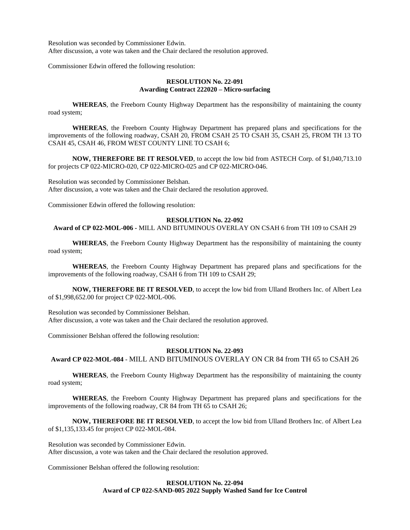Resolution was seconded by Commissioner Edwin. After discussion, a vote was taken and the Chair declared the resolution approved.

Commissioner Edwin offered the following resolution:

# **RESOLUTION No. 22-091 Awarding Contract 222020 – Micro-surfacing**

**WHEREAS**, the Freeborn County Highway Department has the responsibility of maintaining the county road system;

**WHEREAS**, the Freeborn County Highway Department has prepared plans and specifications for the improvements of the following roadway, CSAH 20, FROM CSAH 25 TO CSAH 35, CSAH 25, FROM TH 13 TO CSAH 45, CSAH 46, FROM WEST COUNTY LINE TO CSAH 6;

**NOW, THEREFORE BE IT RESOLVED**, to accept the low bid from ASTECH Corp. of \$1,040,713.10 for projects CP 022-MICRO-020, CP 022-MICRO-025 and CP 022-MICRO-046.

Resolution was seconded by Commissioner Belshan. After discussion, a vote was taken and the Chair declared the resolution approved.

Commissioner Edwin offered the following resolution:

# **RESOLUTION No. 22-092**

### **Award of CP 022-MOL-006 -** MILL AND BITUMINOUS OVERLAY ON CSAH 6 from TH 109 to CSAH 29

**WHEREAS**, the Freeborn County Highway Department has the responsibility of maintaining the county road system;

**WHEREAS**, the Freeborn County Highway Department has prepared plans and specifications for the improvements of the following roadway, CSAH 6 from TH 109 to CSAH 29;

**NOW, THEREFORE BE IT RESOLVED**, to accept the low bid from Ulland Brothers Inc. of Albert Lea of \$1,998,652.00 for project CP 022-MOL-006.

Resolution was seconded by Commissioner Belshan. After discussion, a vote was taken and the Chair declared the resolution approved.

Commissioner Belshan offered the following resolution:

### **RESOLUTION No. 22-093**

**Award CP 022-MOL-084** - MILL AND BITUMINOUS OVERLAY ON CR 84 from TH 65 to CSAH 26

**WHEREAS**, the Freeborn County Highway Department has the responsibility of maintaining the county road system;

**WHEREAS**, the Freeborn County Highway Department has prepared plans and specifications for the improvements of the following roadway, CR 84 from TH 65 to CSAH 26;

**NOW, THEREFORE BE IT RESOLVED**, to accept the low bid from Ulland Brothers Inc. of Albert Lea of \$1,135,133.45 for project CP 022-MOL-084.

Resolution was seconded by Commissioner Edwin. After discussion, a vote was taken and the Chair declared the resolution approved.

Commissioner Belshan offered the following resolution:

## **RESOLUTION No. 22-094 Award of CP 022-SAND-005 2022 Supply Washed Sand for Ice Control**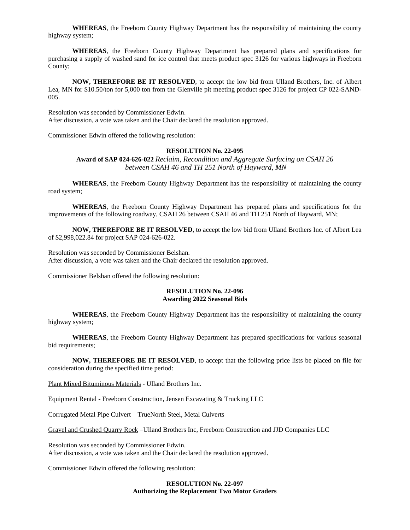**WHEREAS**, the Freeborn County Highway Department has the responsibility of maintaining the county highway system;

**WHEREAS**, the Freeborn County Highway Department has prepared plans and specifications for purchasing a supply of washed sand for ice control that meets product spec 3126 for various highways in Freeborn County;

**NOW, THEREFORE BE IT RESOLVED**, to accept the low bid from Ulland Brothers, Inc. of Albert Lea, MN for \$10.50/ton for 5,000 ton from the Glenville pit meeting product spec 3126 for project CP 022-SAND-005.

Resolution was seconded by Commissioner Edwin. After discussion, a vote was taken and the Chair declared the resolution approved.

Commissioner Edwin offered the following resolution:

### **RESOLUTION No. 22-095**

**Award of SAP 024-626-022** *Reclaim, Recondition and Aggregate Surfacing on CSAH 26 between CSAH 46 and TH 251 North of Hayward, MN*

**WHEREAS**, the Freeborn County Highway Department has the responsibility of maintaining the county road system;

**WHEREAS**, the Freeborn County Highway Department has prepared plans and specifications for the improvements of the following roadway, CSAH 26 between CSAH 46 and TH 251 North of Hayward, MN;

**NOW, THEREFORE BE IT RESOLVED**, to accept the low bid from Ulland Brothers Inc. of Albert Lea of \$2,998,022.84 for project SAP 024-626-022.

Resolution was seconded by Commissioner Belshan. After discussion, a vote was taken and the Chair declared the resolution approved.

Commissioner Belshan offered the following resolution:

### **RESOLUTION No. 22-096 Awarding 2022 Seasonal Bids**

**WHEREAS**, the Freeborn County Highway Department has the responsibility of maintaining the county highway system;

**WHEREAS**, the Freeborn County Highway Department has prepared specifications for various seasonal bid requirements;

**NOW, THEREFORE BE IT RESOLVED**, to accept that the following price lists be placed on file for consideration during the specified time period:

Plant Mixed Bituminous Materials - Ulland Brothers Inc.

Equipment Rental - Freeborn Construction, Jensen Excavating & Trucking LLC

Corrugated Metal Pipe Culvert – TrueNorth Steel, Metal Culverts

Gravel and Crushed Quarry Rock –Ulland Brothers Inc, Freeborn Construction and JJD Companies LLC

Resolution was seconded by Commissioner Edwin. After discussion, a vote was taken and the Chair declared the resolution approved.

Commissioner Edwin offered the following resolution:

### **RESOLUTION No. 22-097 Authorizing the Replacement Two Motor Graders**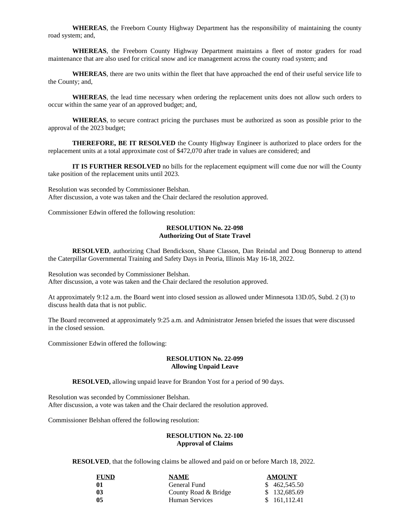**WHEREAS**, the Freeborn County Highway Department has the responsibility of maintaining the county road system; and,

**WHEREAS**, the Freeborn County Highway Department maintains a fleet of motor graders for road maintenance that are also used for critical snow and ice management across the county road system; and

**WHEREAS**, there are two units within the fleet that have approached the end of their useful service life to the County; and,

**WHEREAS**, the lead time necessary when ordering the replacement units does not allow such orders to occur within the same year of an approved budget; and,

**WHEREAS**, to secure contract pricing the purchases must be authorized as soon as possible prior to the approval of the 2023 budget;

**THEREFORE, BE IT RESOLVED** the County Highway Engineer is authorized to place orders for the replacement units at a total approximate cost of \$472,070 after trade in values are considered; and

**IT IS FURTHER RESOLVED** no bills for the replacement equipment will come due nor will the County take position of the replacement units until 2023.

Resolution was seconded by Commissioner Belshan. After discussion, a vote was taken and the Chair declared the resolution approved.

Commissioner Edwin offered the following resolution:

### **RESOLUTION No. 22-098 Authorizing Out of State Travel**

**RESOLVED**, authorizing Chad Bendickson, Shane Classon, Dan Reindal and Doug Bonnerup to attend the Caterpillar Governmental Training and Safety Days in Peoria, Illinois May 16-18, 2022.

Resolution was seconded by Commissioner Belshan. After discussion, a vote was taken and the Chair declared the resolution approved.

At approximately 9:12 a.m. the Board went into closed session as allowed under Minnesota 13D.05, Subd. 2 (3) to discuss health data that is not public.

The Board reconvened at approximately 9:25 a.m. and Administrator Jensen briefed the issues that were discussed in the closed session.

Commissioner Edwin offered the following:

## **RESOLUTION No. 22-099 Allowing Unpaid Leave**

**RESOLVED,** allowing unpaid leave for Brandon Yost for a period of 90 days.

Resolution was seconded by Commissioner Belshan. After discussion, a vote was taken and the Chair declared the resolution approved.

Commissioner Belshan offered the following resolution:

## **RESOLUTION No. 22-100 Approval of Claims**

**RESOLVED**, that the following claims be allowed and paid on or before March 18, 2022.

| <b>FUND</b> | <b>NAME</b>          | <b>AMOUNT</b> |
|-------------|----------------------|---------------|
| 01          | General Fund         | \$462,545.50  |
| 03          | County Road & Bridge | \$132,685.69  |
| 05          | Human Services       | \$ 161,112.41 |